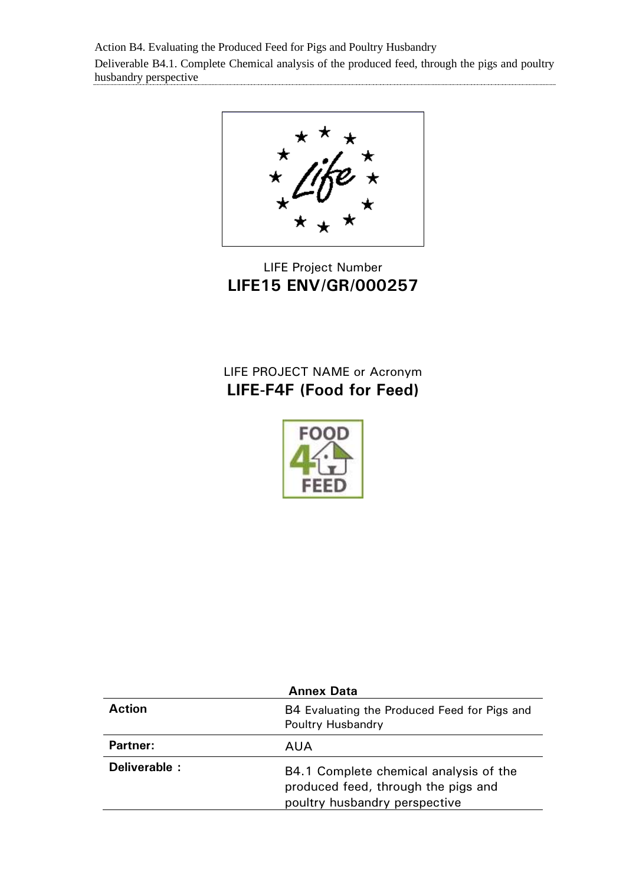Action B4. Evaluating the Produced Feed for Pigs and Poultry Husbandry Deliverable B4.1. Complete Chemical analysis of the produced feed, through the pigs and poultry husbandry perspective

LIFE Project Number **LIFE15 ENV/GR/000257**

## LIFE PROJECT NAME or Acronym **LIFE-F4F (Food for Feed)**



| <b>Annex Data</b> |                                                                                                                |  |  |  |  |  |
|-------------------|----------------------------------------------------------------------------------------------------------------|--|--|--|--|--|
| <b>Action</b>     | B4 Evaluating the Produced Feed for Pigs and<br>Poultry Husbandry                                              |  |  |  |  |  |
| <b>Partner:</b>   | AUA                                                                                                            |  |  |  |  |  |
| Deliverable :     | B4.1 Complete chemical analysis of the<br>produced feed, through the pigs and<br>poultry husbandry perspective |  |  |  |  |  |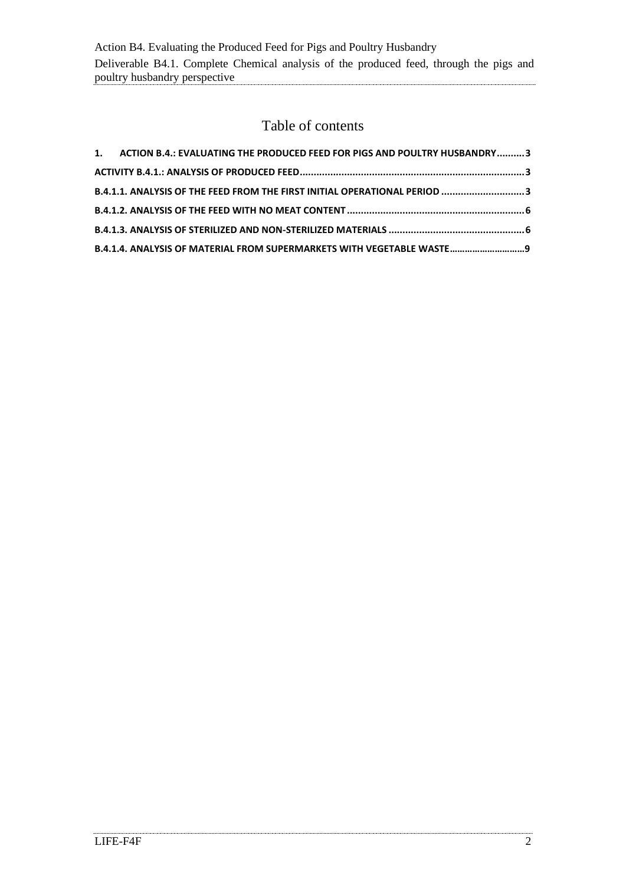## Table of contents

| 1. ACTION B.4.: EVALUATING THE PRODUCED FEED FOR PIGS AND POULTRY HUSBANDRY  3 |  |
|--------------------------------------------------------------------------------|--|
|                                                                                |  |
| B.4.1.1. ANALYSIS OF THE FEED FROM THE FIRST INITIAL OPERATIONAL PERIOD 3      |  |
|                                                                                |  |
|                                                                                |  |
| B.4.1.4. ANALYSIS OF MATERIAL FROM SUPERMARKETS WITH VEGETABLE WASTE 9         |  |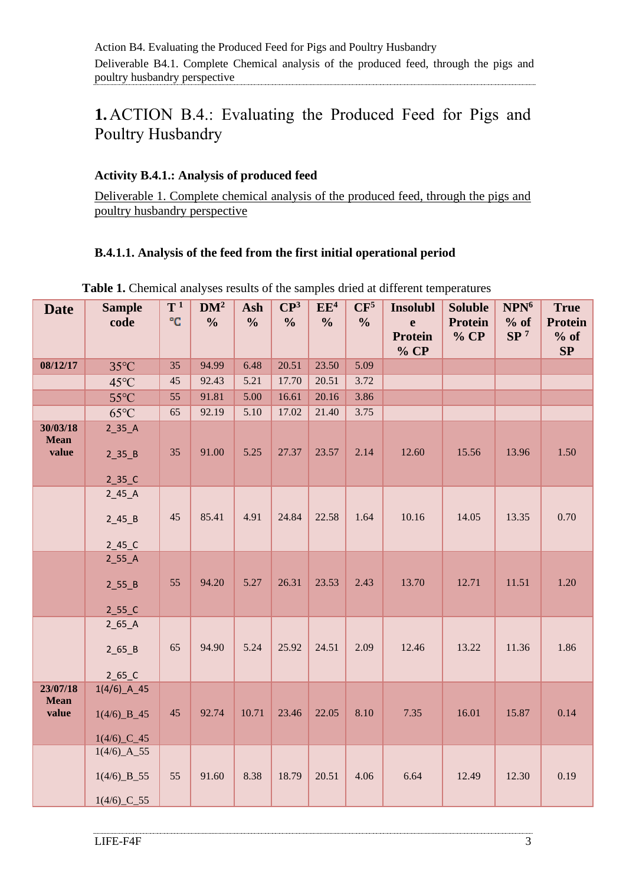# <span id="page-2-0"></span>**1.**ACTION B.4.: Evaluating the Produced Feed for Pigs and Poultry Husbandry

#### <span id="page-2-1"></span>**Activity B.4.1.: Analysis of produced feed**

Deliverable 1. Complete chemical analysis of the produced feed, through the pigs and poultry husbandry perspective

### <span id="page-2-2"></span>**B.4.1.1. Analysis of the feed from the first initial operational period**

| <b>Date</b>                      | <b>Sample</b><br>code                                                             | $T^1$<br>°C | DM <sup>2</sup><br>$\frac{0}{0}$ | Ash<br>$\frac{0}{0}$ | $\mathbb{C}\mathbb{P}^3$<br>$\frac{0}{0}$ | EE <sup>4</sup><br>$\frac{0}{0}$ | CF <sup>5</sup><br>$\frac{0}{0}$ | <b>Insolubl</b><br>e<br>Protein | <b>Soluble</b><br><b>Protein</b><br>% CP | NPN <sup>6</sup><br>$%$ of<br>SP <sup>7</sup> | <b>True</b><br><b>Protein</b><br>$%$ of |
|----------------------------------|-----------------------------------------------------------------------------------|-------------|----------------------------------|----------------------|-------------------------------------------|----------------------------------|----------------------------------|---------------------------------|------------------------------------------|-----------------------------------------------|-----------------------------------------|
|                                  |                                                                                   |             |                                  |                      |                                           |                                  |                                  | % CP                            |                                          |                                               | SP                                      |
| 08/12/17                         | $35^{\circ}$ C                                                                    | 35          | 94.99                            | 6.48                 | 20.51                                     | 23.50                            | 5.09                             |                                 |                                          |                                               |                                         |
|                                  | $45^{\circ}$ C                                                                    | $45\,$      | 92.43                            | 5.21                 | 17.70                                     | 20.51                            | 3.72                             |                                 |                                          |                                               |                                         |
|                                  | $55^{\circ}$ C                                                                    | 55          | 91.81                            | 5.00                 | 16.61                                     | 20.16                            | 3.86                             |                                 |                                          |                                               |                                         |
|                                  | $65^{\circ}$ C                                                                    | 65          | 92.19                            | 5.10                 | 17.02                                     | 21.40                            | 3.75                             |                                 |                                          |                                               |                                         |
| 30/03/18<br><b>Mean</b><br>value | $2$ _35_A<br>$2$ _35_B<br>$2$ _35_C                                               | 35          | 91.00                            | 5.25                 | 27.37                                     | 23.57                            | 2.14                             | 12.60                           | 15.56                                    | 13.96                                         | 1.50                                    |
|                                  | $2_45_A$                                                                          |             |                                  |                      |                                           |                                  |                                  |                                 |                                          |                                               |                                         |
|                                  | $2_45_B$                                                                          | 45          | 85.41                            | 4.91                 | 24.84                                     | 22.58                            | 1.64                             | 10.16                           | 14.05                                    | 13.35                                         | 0.70                                    |
|                                  | $2_45_C$                                                                          |             |                                  |                      |                                           |                                  |                                  |                                 |                                          |                                               |                                         |
|                                  | $2$ _55_A<br>$2$ _55_B<br>$2$ _55_C                                               | 55          | 94.20                            | 5.27                 | 26.31                                     | 23.53                            | 2.43                             | 13.70                           | 12.71                                    | 11.51                                         | 1.20                                    |
|                                  | $2_65_A$                                                                          |             |                                  |                      |                                           |                                  |                                  |                                 |                                          |                                               |                                         |
|                                  | $2_65_B$<br>$2_65_C$                                                              | 65          | 94.90                            | 5.24                 | 25.92                                     | 24.51                            | 2.09                             | 12.46                           | 13.22                                    | 11.36                                         | 1.86                                    |
| 23/07/18<br><b>Mean</b><br>value | $1(4/6)$ <sup>4</sup><br>$1(4/6)$ $B_45$<br>$1(4/6)$ <sup>-C</sup> <sup>-45</sup> | 45          | 92.74                            | 10.71                | 23.46                                     | 22.05                            | 8.10                             | 7.35                            | 16.01                                    | 15.87                                         | 0.14                                    |
|                                  | $1(4/6)$ _A_55<br>$1(4/6)$ _B_55<br>$1(4/6)$ <sup>-C</sup> -55                    | 55          | 91.60                            | 8.38                 | 18.79                                     | 20.51                            | 4.06                             | 6.64                            | 12.49                                    | 12.30                                         | 0.19                                    |

**Table 1.** Chemical analyses results of the samples dried at different temperatures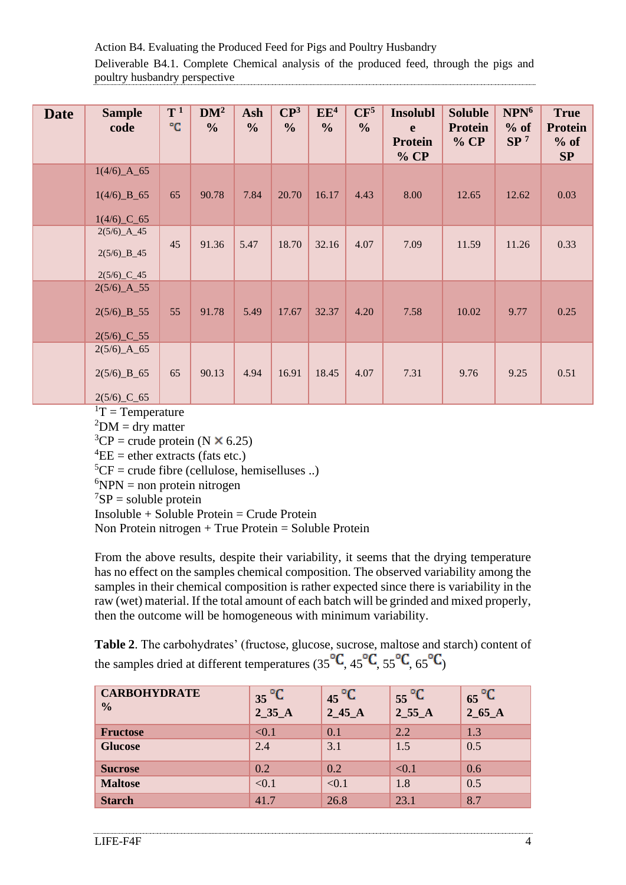Action B4. Evaluating the Produced Feed for Pigs and Poultry Husbandry Deliverable B4.1. Complete Chemical analysis of the produced feed, through the pigs and poultry husbandry perspective

| <b>Date</b> | <b>Sample</b><br>code                                                       | $T^1$<br>°C | DM <sup>2</sup><br>$\frac{0}{0}$ | Ash<br>$\frac{0}{0}$ | $\mathbb{C}\mathbb{P}^3$<br>$\frac{0}{0}$ | EE <sup>4</sup><br>$\frac{0}{0}$ | CF <sup>5</sup><br>$\frac{6}{6}$ | <b>Insolubl</b><br>e<br><b>Protein</b><br>% CP | <b>Soluble</b><br><b>Protein</b><br>% CP | NPN <sup>6</sup><br>$%$ of<br>SP <sup>7</sup> | <b>True</b><br><b>Protein</b><br>$%$ of<br>SP |
|-------------|-----------------------------------------------------------------------------|-------------|----------------------------------|----------------------|-------------------------------------------|----------------------------------|----------------------------------|------------------------------------------------|------------------------------------------|-----------------------------------------------|-----------------------------------------------|
|             | $1(4/6)$ $A_65$<br>$1(4/6)$ $B_65$<br>$1(4/6)$ <sup>-C</sup> -65            | 65          | 90.78                            | 7.84                 | 20.70                                     | 16.17                            | 4.43                             | 8.00                                           | 12.65                                    | 12.62                                         | 0.03                                          |
|             | $2(5/6)$ $A_45$<br>$2(5/6)$ $B_45$<br>$2(5/6)$ <sup>-C</sup> <sup>-45</sup> | 45          | 91.36                            | 5.47                 | 18.70                                     | 32.16                            | 4.07                             | 7.09                                           | 11.59                                    | 11.26                                         | 0.33                                          |
|             | $2(5/6)$ $A_55$<br>$2(5/6)$ $B_55$<br>$2(5/6)$ <sup>-C</sup> -55            | 55          | 91.78                            | 5.49                 | 17.67                                     | 32.37                            | 4.20                             | 7.58                                           | 10.02                                    | 9.77                                          | 0.25                                          |
|             | $2(5/6)$ $A_65$<br>$2(5/6)$ $B_65$<br>$2(5/6)$ <sup>-C</sup> -65            | 65          | 90.13                            | 4.94                 | 16.91                                     | 18.45                            | 4.07                             | 7.31                                           | 9.76                                     | 9.25                                          | 0.51                                          |

 ${}^{1}T$  = Temperature

 $^{2}$ DM = dry matter

 ${}^{3}CP$  = crude protein (N  $\times$  6.25)

 ${}^{4}EE =$  ether extracts (fats etc.)

 ${}^{5}CF =$  crude fibre (cellulose, hemiselluses ..)

 ${}^{6}NPN$  = non protein nitrogen

 ${}^{7}SP =$  soluble protein

Insoluble + Soluble Protein = Crude Protein

Non Protein nitrogen + True Protein = Soluble Protein

From the above results, despite their variability, it seems that the drying temperature has no effect on the samples chemical composition. The observed variability among the samples in their chemical composition is rather expected since there is variability in the raw (wet) material. If the total amount of each batch will be grinded and mixed properly, then the outcome will be homogeneous with minimum variability.

**Table 2**. The carbohydrates' (fructose, glucose, sucrose, maltose and starch) content of the samples dried at different temperatures (35 $\mathrm{^oC}$ , 45 $\mathrm{^oC}$ , 55 $\mathrm{^oC}$ , 65 $\mathrm{^oC}$ )

| <b>CARBOHYDRATE</b><br>$\frac{0}{0}$ | $35\degree C$<br>2_35_A | $45^{\circ}C$<br>$2_{-}45_{-}A$ | $55^{\circ}C$<br>$2_{55\_A}$ | $65\degree C$<br>2_65_A |
|--------------------------------------|-------------------------|---------------------------------|------------------------------|-------------------------|
| <b>Fructose</b>                      | < 0.1                   | 0.1                             | 2.2                          | 1.3                     |
| <b>Glucose</b>                       | 2.4                     | 3.1                             | 1.5                          | 0.5                     |
| <b>Sucrose</b>                       | 0.2                     | 0.2                             | < 0.1                        | 0.6                     |
| <b>Maltose</b>                       | < 0.1                   | < 0.1                           | 1.8                          | 0.5                     |
| <b>Starch</b>                        | 41.7                    | 26.8                            | 23.1                         | 8.7                     |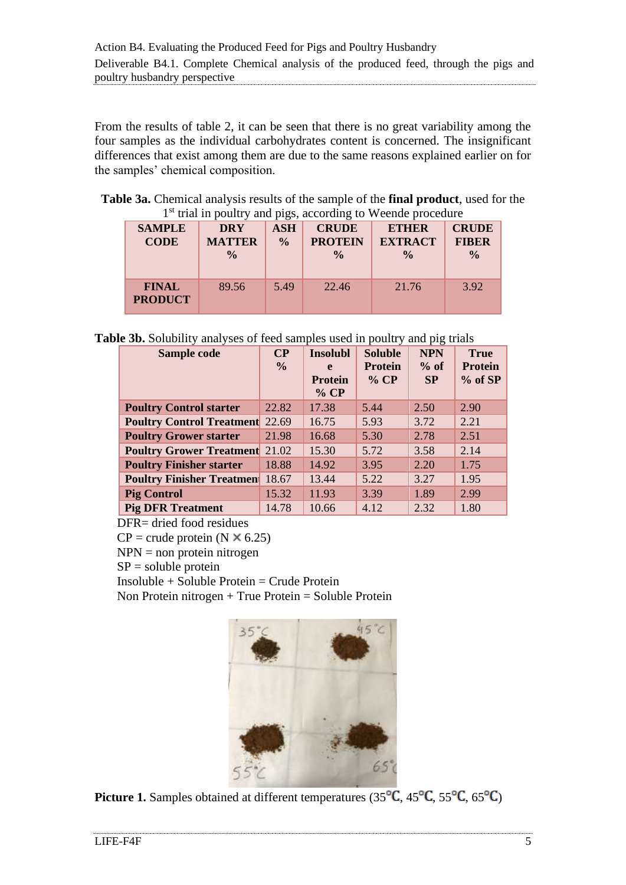From the results of table 2, it can be seen that there is no great variability among the four samples as the individual carbohydrates content is concerned. The insignificant differences that exist among them are due to the same reasons explained earlier on for the samples' chemical composition.

**Table 3a.** Chemical analysis results of the sample of the **final product**, used for the 1<sup>st</sup> trial in poultry and pigs, according to Weende procedure

| <b>SAMPLE</b><br><b>CODE</b>   | <b>DRY</b><br><b>MATTER</b><br>$\frac{0}{0}$ | <b>ASH</b><br>$\frac{0}{0}$ | <b>CRUDE</b><br><b>PROTEIN</b><br>$\frac{0}{0}$ | <b>ETHER</b><br><b>EXTRACT</b><br>$\frac{0}{0}$ | <b>CRUDE</b><br><b>FIBER</b><br>$\frac{0}{0}$ |
|--------------------------------|----------------------------------------------|-----------------------------|-------------------------------------------------|-------------------------------------------------|-----------------------------------------------|
| <b>FINAL</b><br><b>PRODUCT</b> | 89.56                                        | 5.49                        | 22.46                                           | 21.76                                           | 3.92                                          |

**Table 3b.** Solubility analyses of feed samples used in poultry and pig trials

| Sample code                      | $\bf CP$      | <b>Insolubl</b> | <b>Soluble</b> | <b>NPN</b> | <b>True</b>    |
|----------------------------------|---------------|-----------------|----------------|------------|----------------|
|                                  | $\frac{6}{9}$ | e               | <b>Protein</b> | $%$ of     | <b>Protein</b> |
|                                  |               | <b>Protein</b>  | $%$ CP         | SP         | $%$ of SP      |
|                                  |               | % CP            |                |            |                |
| <b>Poultry Control starter</b>   | 22.82         | 17.38           | 5.44           | 2.50       | 2.90           |
| <b>Poultry Control Treatment</b> | 22.69         | 16.75           | 5.93           | 3.72       | 2.21           |
| <b>Poultry Grower starter</b>    | 21.98         | 16.68           | 5.30           | 2.78       | 2.51           |
| <b>Poultry Grower Treatment</b>  | 21.02         | 15.30           | 5.72           | 3.58       | 2.14           |
| <b>Poultry Finisher starter</b>  | 18.88         | 14.92           | 3.95           | 2.20       | 1.75           |
| <b>Poultry Finisher Treatmen</b> | 18.67         | 13.44           | 5.22           | 3.27       | 1.95           |
| <b>Pig Control</b>               | 15.32         | 11.93           | 3.39           | 1.89       | 2.99           |
| <b>Pig DFR Treatment</b>         | 14.78         | 10.66           | 4.12           | 2.32       | 1.80           |

DFR= dried food residues

 $CP = \text{crude protein}$  (N  $\times$  6.25)

 $NPN =$  non protein nitrogen

 $SP =$  soluble protein

Insoluble + Soluble Protein = Crude Protein

Non Protein nitrogen + True Protein = Soluble Protein



**Picture 1.** Samples obtained at different temperatures ( $35^{\circ}C$ ,  $45^{\circ}C$ ,  $55^{\circ}C$ ,  $65^{\circ}C$ )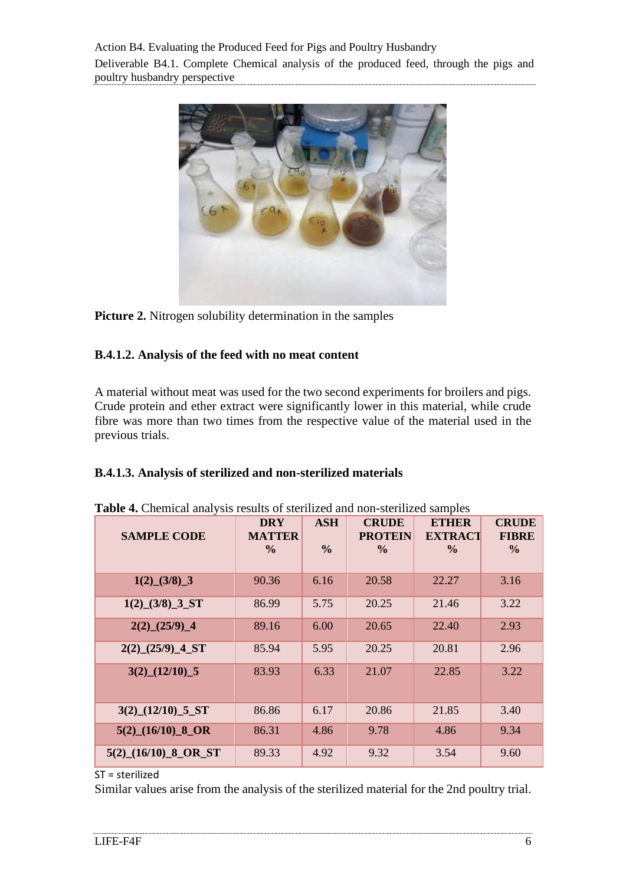Action B4. Evaluating the Produced Feed for Pigs and Poultry Husbandry Deliverable B4.1. Complete Chemical analysis of the produced feed, through the pigs and poultry husbandry perspective



**Picture 2.** Nitrogen solubility determination in the samples

#### <span id="page-5-0"></span>**B.4.1.2. Analysis of the feed with no meat content**

A material without meat was used for the two second experiments for broilers and pigs. Crude protein and ether extract were significantly lower in this material, while crude fibre was more than two times from the respective value of the material used in the previous trials.

#### <span id="page-5-1"></span>**B.4.1.3. Analysis of sterilized and non-sterilized materials**

| <b>SAMPLE CODE</b>                    | <b>DRY</b><br><b>MATTER</b><br>$\frac{0}{0}$ | <b>ASH</b><br>$\frac{0}{0}$ | <b>CRUDE</b><br><b>PROTEIN</b><br>$\frac{0}{0}$ | <b>ETHER</b><br><b>EXTRACT</b><br>$\frac{0}{0}$ | <b>CRUDE</b><br><b>FIBRE</b><br>$\frac{0}{0}$ |
|---------------------------------------|----------------------------------------------|-----------------------------|-------------------------------------------------|-------------------------------------------------|-----------------------------------------------|
| $1(2)$ (3/8) 3                        | 90.36                                        | 6.16                        | 20.58                                           | 22.27                                           | 3.16                                          |
| $1(2)$ (3/8) 3 ST                     | 86.99                                        | 5.75                        | 20.25                                           | 21.46                                           | 3.22                                          |
| $2(2)$ <sup>(25/9)</sup> <sup>4</sup> | 89.16                                        | 6.00                        | 20.65                                           | 22.40                                           | 2.93                                          |
| $2(2)$ $(25/9)$ $-4$ ST               | 85.94                                        | 5.95                        | 20.25                                           | 20.81                                           | 2.96                                          |
| $3(2)$ $(12/10)$ $5$                  | 83.93                                        | 6.33                        | 21.07                                           | 22.85                                           | 3.22                                          |
| $3(2)$ $(12/10)$ $5$ $ST$             | 86.86                                        | 6.17                        | 20.86                                           | 21.85                                           | 3.40                                          |
| $5(2)$ (16/10) 8 OR                   | 86.31                                        | 4.86                        | 9.78                                            | 4.86                                            | 9.34                                          |
| $5(2)$ $(16/10)$ 8 OR ST              | 89.33                                        | 4.92                        | 9.32                                            | 3.54                                            | 9.60                                          |

|  |  | Table 4. Chemical analysis results of sterilized and non-sterilized samples |  |  |
|--|--|-----------------------------------------------------------------------------|--|--|
|  |  |                                                                             |  |  |

ST = sterilized

Similar values arise from the analysis of the sterilized material for the 2nd poultry trial.